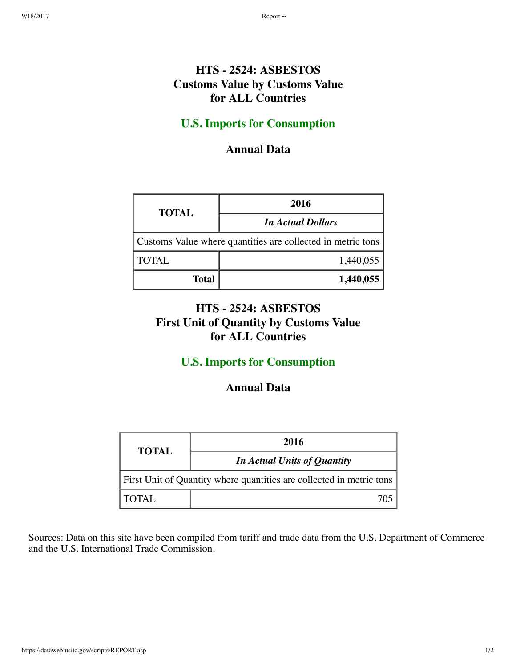## **HTS - 2524: ASBESTOS Customs Value by Customs Value for ALL Countries**

### **U.S. Imports for Consumption**

#### **Annual Data**

| <b>TOTAL</b>                                                | 2016                     |  |
|-------------------------------------------------------------|--------------------------|--|
|                                                             | <b>In Actual Dollars</b> |  |
| Customs Value where quantities are collected in metric tons |                          |  |
| <b>TOTAL</b>                                                | 1,440,055                |  |
| <b>Total</b>                                                | 1,440,055                |  |

## **HTS - 2524: ASBESTOS First Unit of Quantity by Customs Value for ALL Countries**

### **U.S. Imports for Consumption**

#### **Annual Data**

| <b>TOTAL</b>                                                         | 2016                        |  |
|----------------------------------------------------------------------|-----------------------------|--|
|                                                                      | In Actual Units of Quantity |  |
| First Unit of Quantity where quantities are collected in metric tons |                             |  |
| TOTAL                                                                | $70^{\circ}$                |  |

Sources: Data on this site have been compiled from tariff and trade data from the U.S. Department of Commerce and the U.S. International Trade Commission.